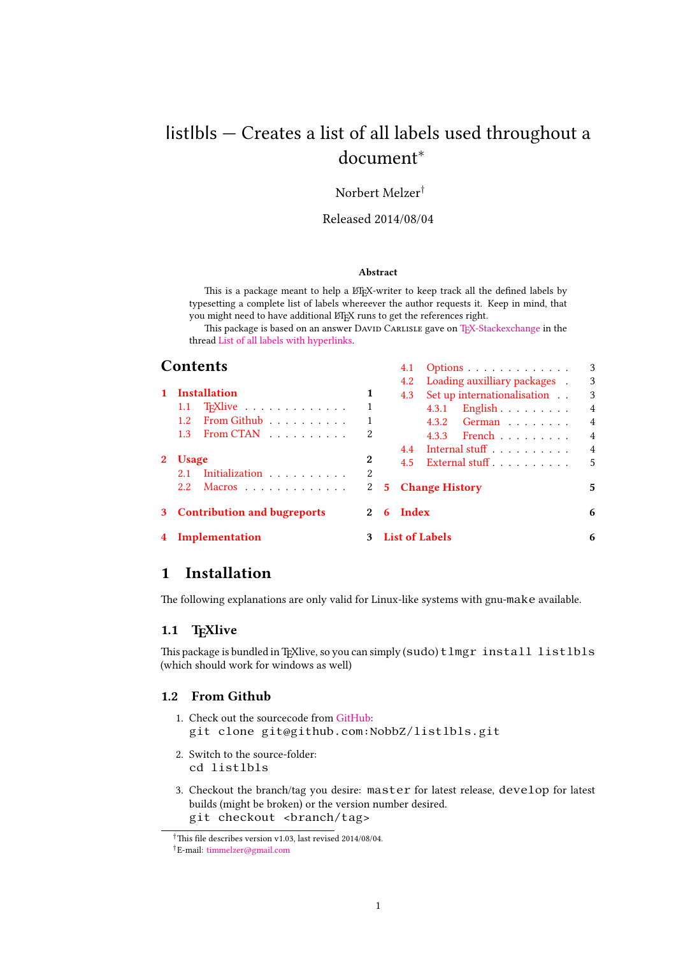# <span id="page-0-3"></span>listlbls — Creates a list of all labels used throughout a document*<sup>∗</sup>*

## Norbert Melzer*†*

#### Released 2014/08/04

#### **Abstract**

This is a package meant to help a ETFX-writer to keep track all the defined labels by typesetting a complete list of labels whereever the author requests it. Keep in mind, that you might need to have additional ETEX runs to get the references right.

This package is based on an answer DAVID CARLISLE gave on TEX-Stackexchange in the thread List of all labels with hyperlinks.

4.1 Options . . . . . . . . . . . . . 3

| Contents |
|----------|
|----------|

|              |                               |   |   |               | 1.1 Options                 |                |
|--------------|-------------------------------|---|---|---------------|-----------------------------|----------------|
|              |                               |   |   | 4.2           | Loading auxilliary packages | -3             |
| $\mathbf{1}$ | <b>Installation</b>           | 1 |   | 4.3           | Set up internationalisation | 3              |
|              | T <sub>F</sub> Xlive<br>1.1   |   |   |               | $4.3.1$ English             | $\overline{4}$ |
|              | From Github<br>$1.2^{\circ}$  |   |   |               | 4.3.2 German                | $\overline{4}$ |
|              | 1.3 From CTAN                 | 2 |   |               | 4.3.3 French                | $\overline{4}$ |
|              |                               |   |   | 4.4           | Internal stuff              | $\overline{4}$ |
|              | <b>Usage</b>                  | 2 |   | $4.5^{\circ}$ | External stuff              | 5              |
|              | Initialization<br>2.1         | 2 |   |               |                             |                |
|              | Macros<br>2.2                 | 2 |   |               | <b>5</b> Change History     | 5              |
|              | 3 Contribution and bugreports | 2 | 6 | Index         |                             | 6              |
|              | 4 Implementation              |   |   |               | 3 List of Labels            | 6              |
|              |                               |   |   |               |                             |                |

# **[1 Installation](#page-1-4)**

[The following explana](#page-2-0)tions are only valid for Li[nux-like system](#page-5-0)s with gnu-make available.

#### <span id="page-0-0"></span>**1.1 TEXlive**

This package is bundled in TeXlive, so you can simply (sudo)  $tlmgr$  install listlbls (which should work for windows as well)

### <span id="page-0-1"></span>**1.2 From Github**

- 1. Check out the sourcecode from GitHub: git clone git@github.com:NobbZ/listlbls.git
- <span id="page-0-2"></span>2. Switch to the source-folder: cd listlbls
- 3. Checkout the branch/tag you desire: master for latest release, develop for latest builds (might be broken) or the version number desired. git checkout <br />branch/tag>

*<sup>†</sup>*This file describes version v1.03, last revised 2014/08/04.

*<sup>†</sup>*E-mail: timmelzer@gmail.com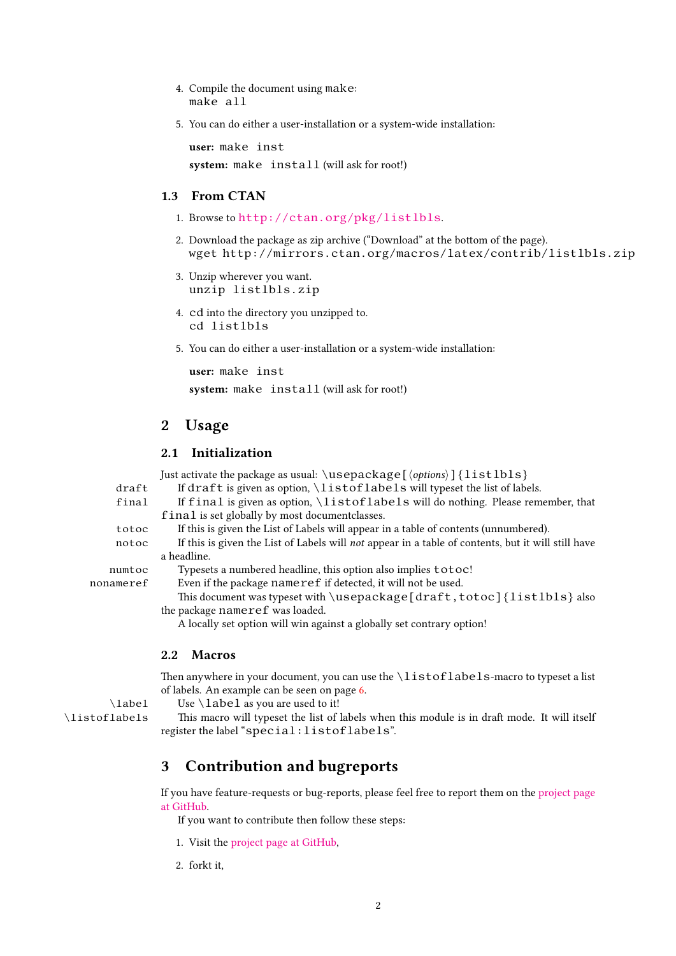- 4. Compile the document using make: make all
- 5. You can do either a user-installation or a system-wide installation:

**user:** make inst **system:** make install (will ask for root!)

#### **1.3 From CTAN**

- 1. Browse to http://ctan.org/pkg/listlbls.
- <span id="page-1-0"></span>2. Download the package as zip archive ("Download" at the bottom of the page). wget http://mirrors.ctan.org/macros/latex/contrib/listlbls.zip
- 3. Unzip wh[erever you want.](http://ctan.org/pkg/listlbls) unzip listlbls.zip
- 4. cd into the directory you unzipped to. cd listlbls
- 5. You can do either a user-installation or a system-wide installation:

```
user: make inst
system: make install (will ask for root!)
```
# **2 Usage**

## **2.1 Initialization**

<span id="page-1-2"></span><span id="page-1-1"></span> $J$ ust activate the package as usual:  $\langle \text{u} \rangle$ sepackage[ $\langle \text{options} \rangle$ ]  $\{l \text{ is } l \text{ b} \}$ 

|           | Tust activate the package as usual. (GOCDACKAGCT\ <i>options</i> /T) ±10 C1010T                    |  |
|-----------|----------------------------------------------------------------------------------------------------|--|
| draft     | If draft is given as option, \listoflabels will typeset the list of labels.                        |  |
| final     | If final is given as option, \listoflabels will do nothing. Please remember, that                  |  |
|           | final is set globally by most document classes.                                                    |  |
| totoc     | If this is given the List of Labels will appear in a table of contents (unnumbered).               |  |
| notoc     | If this is given the List of Labels will not appear in a table of contents, but it will still have |  |
|           | a headline.                                                                                        |  |
| numtoc    | Typesets a numbered headline, this option also implies totoc!                                      |  |
| nonameref | Even if the package nameref if detected, it will not be used.                                      |  |
|           |                                                                                                    |  |

This document was typeset with \usepackage[draft,totoc]{listlbls} also the package nameref was loaded.

A locally set option will win against a globally set contrary option!

#### **2.2 Macros**

<span id="page-1-3"></span>Then anywhere in your document, you can use the  $\lvert \text{listoflabels} \rvert$  -macro to typeset a list of labels. An example can be seen on page 6.

 $\lambda$  Use  $\lambda$  as you are used to it!

\listoflabels This macro will typeset the list of labels when this module is in draft mode. It will itself register the label "special:listoflabels".

# **3 Contribution and bugreports**

If you have feature-requests or bug-reports, please feel free to report them on the project page at GitHub.

<span id="page-1-4"></span>If you want to contribute then follow these steps:

- 1. Visit the project page at GitHub,
- 2. [fork](https://github.com/NobbZ/listlbls)t it,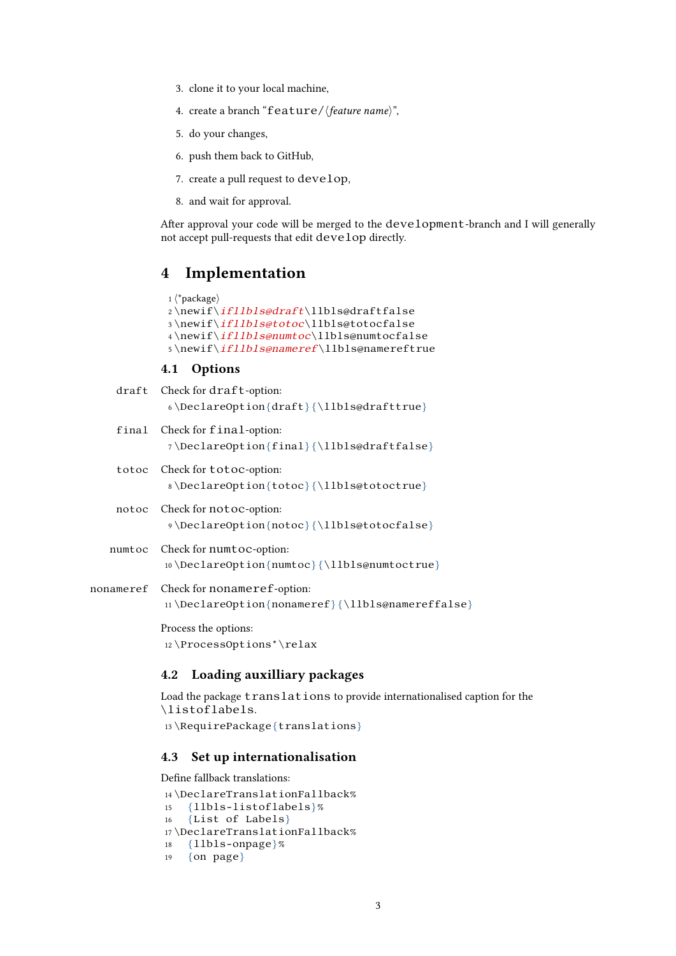- <span id="page-2-4"></span>3. clone it to your local machine,
- 4. create a branch "feature/*⟨feature name⟩*",
- 5. do your changes,
- 6. push them back to GitHub,
- 7. create a pull request to develop,
- 8. and wait for approval.

After approval your code will be merged to the development-branch and I will generally not accept pull-requests that edit develop directly.

# <span id="page-2-0"></span>**4 Implementation**

```
1 ⟨*package⟩
2 \newif\ifllbls@draft\llbls@draftfalse
3 \newif\ifllbls@totoc\llbls@totocfalse
4 \newif\ifllbls@numtoc\llbls@numtocfalse
5 \newif\ifllbls@nameref\llbls@namereftrue
```
#### <span id="page-2-13"></span><span id="page-2-12"></span><span id="page-2-7"></span><span id="page-2-6"></span><span id="page-2-5"></span><span id="page-2-1"></span>**4.1 Options**

|        | draft Check for draft-option:<br>$\delta \DeclareOption{draff}\{\11bls@drafftrue\}$       |
|--------|-------------------------------------------------------------------------------------------|
|        | final Check for final-option:<br>7\DeclareOption{final}{\l1bls@draftfalse}                |
| totoc  | Check for <b>totoc</b> -option:<br>8\DeclareOption{totoc}{\11bls@totoctrue}               |
|        | notoc Check for notoc-option:<br>%) \DeclareOption{notoc}{\l1bls@totocfalse}              |
| numtoc | Check for numtoc-option:<br>10 \DeclareOption{numtoc} {\l1bls@numtoctrue}                 |
|        | nonameref Check for nonameref-option:<br>11\DeclareOption{nonameref}{\l1bls@namereffalse} |
|        | Process the options:<br>$12 \P$ rocessOptions*\relax                                      |

### <span id="page-2-11"></span><span id="page-2-10"></span><span id="page-2-9"></span><span id="page-2-2"></span>**4.2 Loading auxilliary packages**

Load the package translations to provide internationalised caption for the \listoflabels. 13 \RequirePackage{translations}

## <span id="page-2-3"></span>**4.3 Set up internationalisation**

```
Define fallback translations:
14 \DeclareTranslationFallback%
15 {llbls-listoflabels}%
16 {List of Labels}
17 \DeclareTranslationFallback%
18 {llbls-onpage}%
19 {on page}
```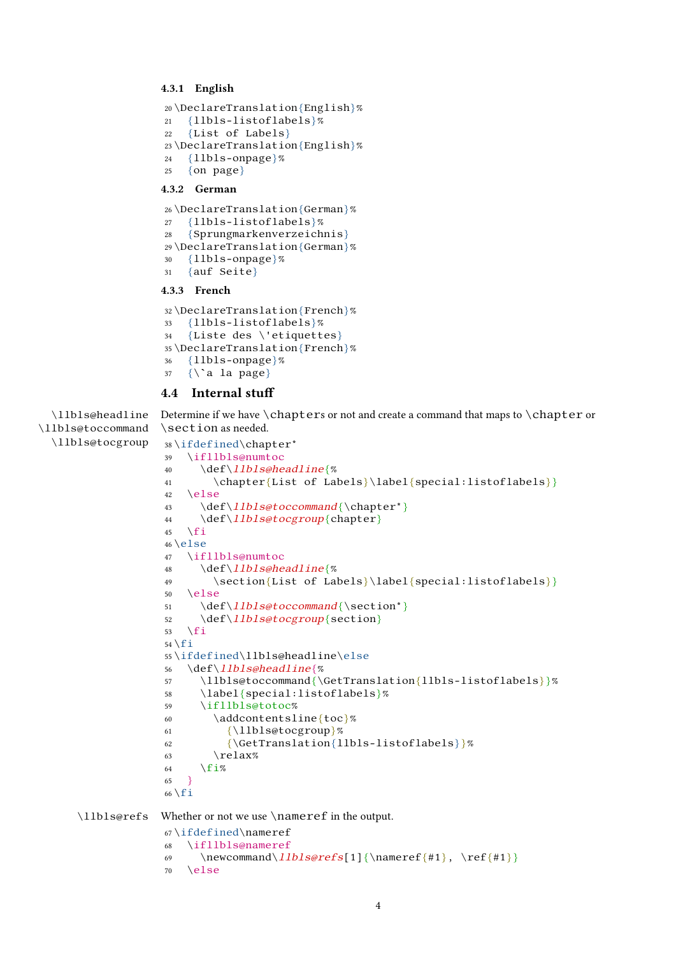### <span id="page-3-0"></span>**4.3.1 English**

```
20 \DeclareTranslation{English}%
21 {llbls-listoflabels}%
22 {List of Labels}
23 \DeclareTranslation{English}%
24 \{11b1s-onpage}%
25 \quad \{ \text{on page} \}
```
#### <span id="page-3-1"></span>**4.3.2 German**

```
26 \DeclareTranslation{German}%
27 {llbls-listoflabels}%
28 {Sprungmarkenverzeichnis}
29 \DeclareTranslation{German}%
30 {llbls-onpage}%
31 {auf Seite}
```
## <span id="page-3-2"></span>**4.3.3 French**

```
32 \DeclareTranslation{French}%
33 {llbls-listoflabels}%
34 {Liste des \'etiquettes}
35 \DeclareTranslation{French}%
36 {llbls-onpage}%
37 \quad {\hat{\ } a \text{ la page}}
```
## <span id="page-3-5"></span><span id="page-3-3"></span>**4.4 Internal stuff**

<span id="page-3-10"></span><span id="page-3-8"></span>\llbls@headline \llbls@toccommand Determine if we have \chapters or not and create a command that maps to \chapter or \section as needed.

```
\llbls@tocgroup
                 38 \ifdefined\chapter*
                 39 \ifllbls@numtoc
                 40 \def\llbls@headline{%
                 41 \chapter{List of Labels}\label{special:listoflabels}}
                 42 \else
                 43 \def\llbls@toccommand{\chapter*}
                 44 \def\llbls@tocgroup{chapter}
                 45 \setminus fi
                 46 \text{ }else
                 47 \ifllbls@numtoc
                 48 \def\llbls@headline{%
                 49 \section{List of Labels}\label{special:listoflabels}}
                 50 \ \text{le}51 \def\llbls@toccommand{\section*}
                 52 \def\llbls@tocgroup{section}
                 53 \sqrt{fi}54 \mid f \mid55 \ifdefined\llbls@headline\else
                 56 \def\llbls@headline{%
                 57 \llbls@toccommand{\GetTranslation{llbls-listoflabels}}%
                 58 \label{special:listoflabels}%
                 59 \ifllbls@totoc%
                 60 \addcontentsline{toc}%
                 61 {\llbls@tocgroup}%
                 62 {\GetTranslation{llbls-listoflabels}}%
                 63 \quad \text{relax}\%64 \fi%
                 65 }
                 66 \setminus fi
```
<span id="page-3-9"></span>\llbls@refs Whether or not we use \nameref in the output.

```
67 \ifdefined\nameref
68 \ifllbls@nameref
69 \newcommand\llbls@refs[1]{\nameref{#1}, \ref{#1}}
70 \else
```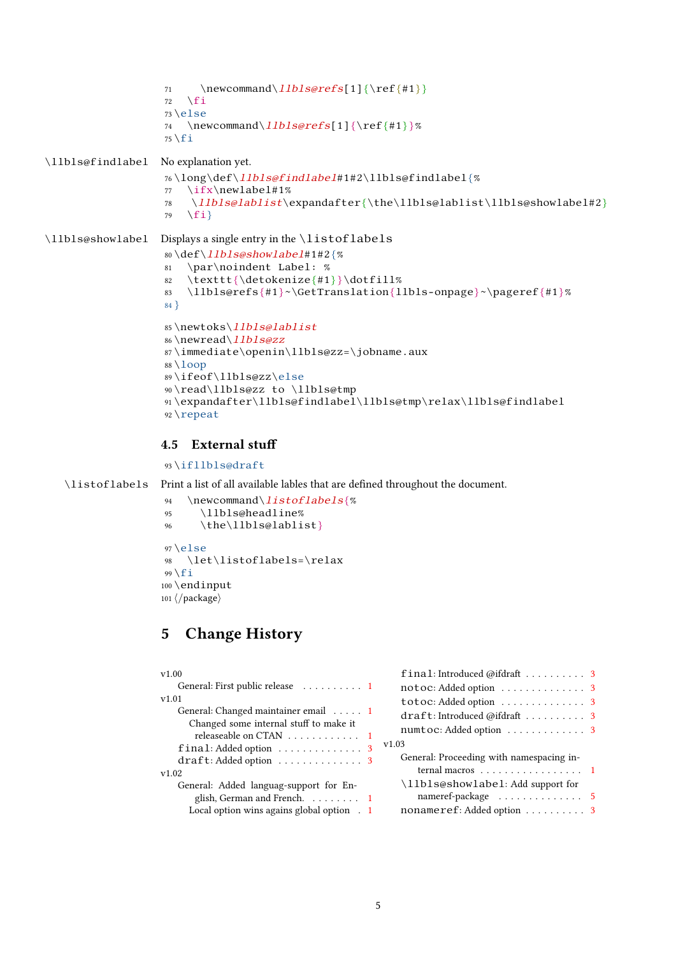```
71 \newcommand\llbls@refs[1]{\ref{#1}}
                   72 \overline{f}73 \else
                   74 \newcommand\llbls@refs[1]{\ref{#1}}%
                   75 \setminus fi\llbls@findlabel No explanation yet.
                   76 \long\def\llbls@findlabel#1#2\llbls@findlabel{%
                   77 \ifx\newlabel#1%
                   78 \llbls@lablist\expandafter{\the\llbls@lablist\llbls@showlabel#2}
                   79 \fi}
\llbls@showlabel Displays a single entry in the \listoflabels
                   80 \def\llbls@showlabel#1#2{%
                   81 \par\noindent Label: %
                   82 \texttt{\detokenize{#1}}\dotfill%
                   83 \llbls@refs{#1}~\GetTranslation{llbls-onpage}~\pageref{#1}%
                   84 }
                   85 \newtoks\llbls@lablist
                   86 \newread\llbls@zz
                   87 \immediate\openin\llbls@zz=\jobname.aux
```

```
88 \backslashloop
89 \ifeof\llbls@zz\else
90 \read\llbls@zz to \llbls@tmp
91 \expandafter\llbls@findlabel\llbls@tmp\relax\llbls@findlabel
92 \repeat
```
# <span id="page-4-10"></span><span id="page-4-6"></span>**4.5 External stuff**

```
93 \ifllbls@draft
```
\listoflabels Print a list of all available lables that are defined throughout the document.

```
94 \newcommand\listoflabels{%
95 \llbls@headline%
96 \the\llbls@lablist}
97 \text{ }else
98 \let\listoflabels=\relax
99 \mid fi
100 \endinput
101 ⟨/package⟩
```
# <span id="page-4-7"></span><span id="page-4-4"></span>**5 Change History**

<span id="page-4-1"></span>

| v1.00                                    |  |
|------------------------------------------|--|
| General: First public release 1          |  |
| V1.01                                    |  |
| General: Changed maintainer email 1      |  |
| Changed some internal stuff to make it   |  |
| releaseable on CTAN 1                    |  |
| final: Added option  3                   |  |
| draft: Added option  3                   |  |
| v1.02                                    |  |
| General: Added languag-support for En-   |  |
| glish, German and French. 1              |  |
| Local option wins agains global option 1 |  |

| final: Introduced @ifdraft 3             |  |
|------------------------------------------|--|
| notoc: Added option 3                    |  |
| totoc: Added option 3                    |  |
| draft: Introduced @ifdraft 3             |  |
| numtoc: Added option 3                   |  |
| v1.03                                    |  |
| General: Proceeding with namespacing in- |  |
| ternal macros 1                          |  |
| \llbls@showlabel: Add support for        |  |
|                                          |  |
| nonameref: Added option 3                |  |
|                                          |  |